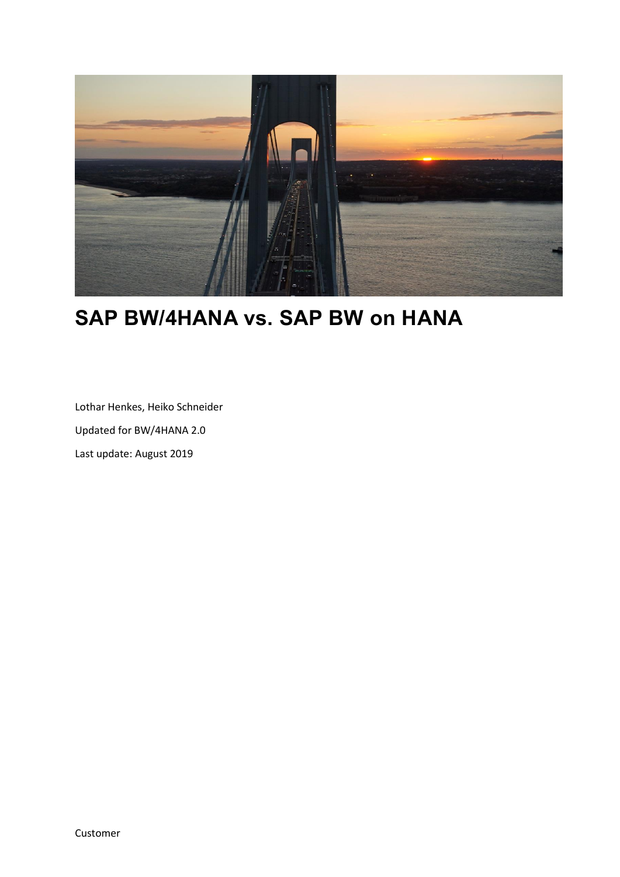

# **SAP BW/4HANA vs. SAP BW on HANA**

Lothar Henkes, Heiko Schneider Updated for BW/4HANA 2.0 Last update: August 2019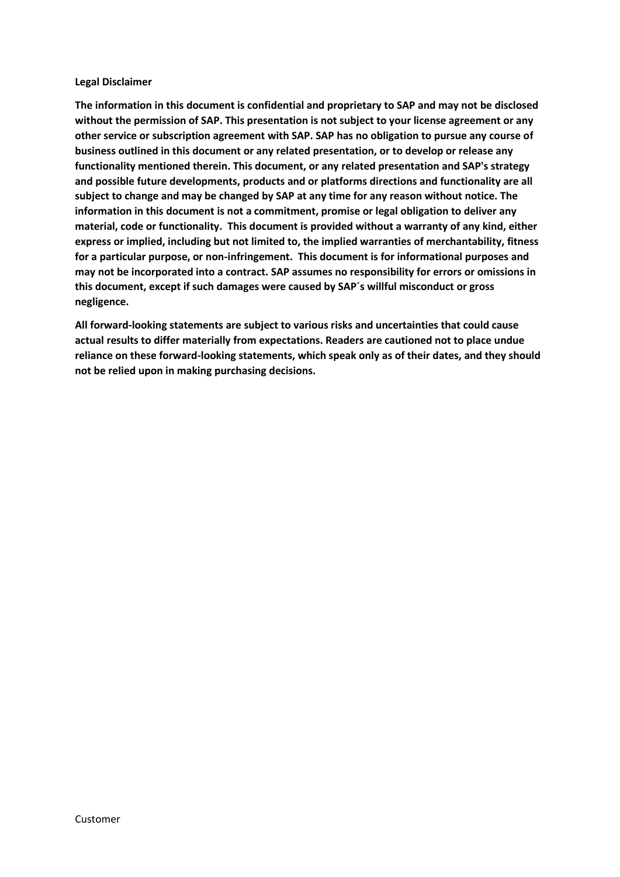#### **Legal Disclaimer**

**The information in this document is confidential and proprietary to SAP and may not be disclosed without the permission of SAP. This presentation is not subject to your license agreement or any other service or subscription agreement with SAP. SAP has no obligation to pursue any course of business outlined in this document or any related presentation, or to develop or release any functionality mentioned therein. This document, or any related presentation and SAP's strategy and possible future developments, products and or platforms directions and functionality are all subject to change and may be changed by SAP at any time for any reason without notice. The information in this document is not a commitment, promise or legal obligation to deliver any material, code or functionality. This document is provided without a warranty of any kind, either express or implied, including but not limited to, the implied warranties of merchantability, fitness for a particular purpose, or non-infringement. This document is for informational purposes and may not be incorporated into a contract. SAP assumes no responsibility for errors or omissions in this document, except if such damages were caused by SAP´s willful misconduct or gross negligence.**

**All forward-looking statements are subject to various risks and uncertainties that could cause actual results to differ materially from expectations. Readers are cautioned not to place undue reliance on these forward-looking statements, which speak only as of their dates, and they should not be relied upon in making purchasing decisions.**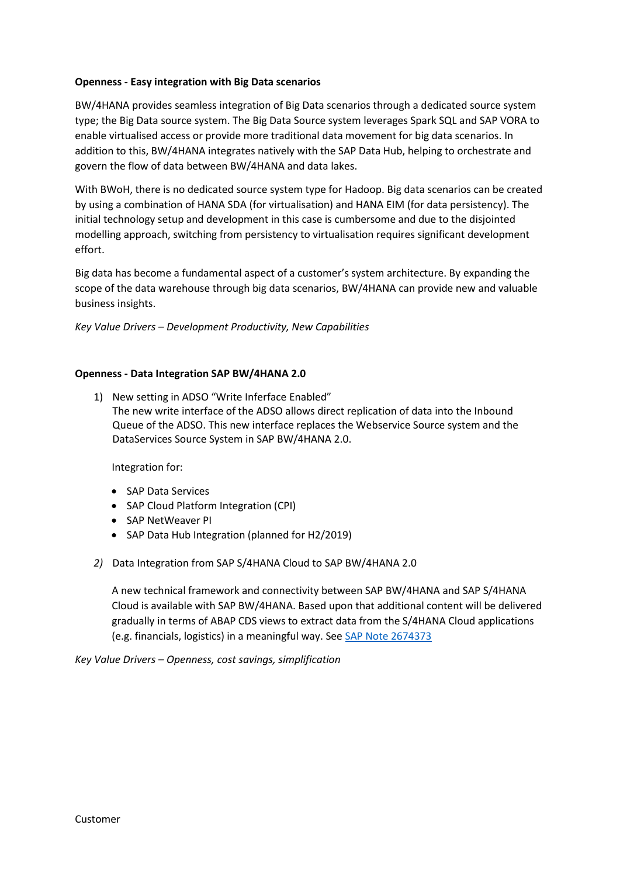# **Openness - Easy integration with Big Data scenarios**

BW/4HANA provides seamless integration of Big Data scenarios through a dedicated source system type; the Big Data source system. The Big Data Source system leverages Spark SQL and SAP VORA to enable virtualised access or provide more traditional data movement for big data scenarios. In addition to this, BW/4HANA integrates natively with the SAP Data Hub, helping to orchestrate and govern the flow of data between BW/4HANA and data lakes.

With BWoH, there is no dedicated source system type for Hadoop. Big data scenarios can be created by using a combination of HANA SDA (for virtualisation) and HANA EIM (for data persistency). The initial technology setup and development in this case is cumbersome and due to the disjointed modelling approach, switching from persistency to virtualisation requires significant development effort.

Big data has become a fundamental aspect of a customer's system architecture. By expanding the scope of the data warehouse through big data scenarios, BW/4HANA can provide new and valuable business insights.

*Key Value Drivers – Development Productivity, New Capabilities*

## **Openness - Data Integration SAP BW/4HANA 2.0**

1) New setting in ADSO "Write Inferface Enabled" The new write interface of the ADSO allows direct replication of data into the Inbound Queue of the ADSO. This new interface replaces the Webservice Source system and the DataServices Source System in SAP BW/4HANA 2.0.

Integration for:

- SAP Data Services
- SAP Cloud Platform Integration (CPI)
- SAP NetWeaver PI
- SAP Data Hub Integration (planned for H2/2019)
- *2)* Data Integration from SAP S/4HANA Cloud to SAP BW/4HANA 2.0

A new technical framework and connectivity between SAP BW/4HANA and SAP S/4HANA Cloud is available with SAP BW/4HANA. Based upon that additional content will be delivered gradually in terms of ABAP CDS views to extract data from the S/4HANA Cloud applications (e.g. financials, logistics) in a meaningful way. See [SAP Note 2674373](https://launchpad.support.sap.com/#/notes/2674373)

*Key Value Drivers – Openness, cost savings, simplification*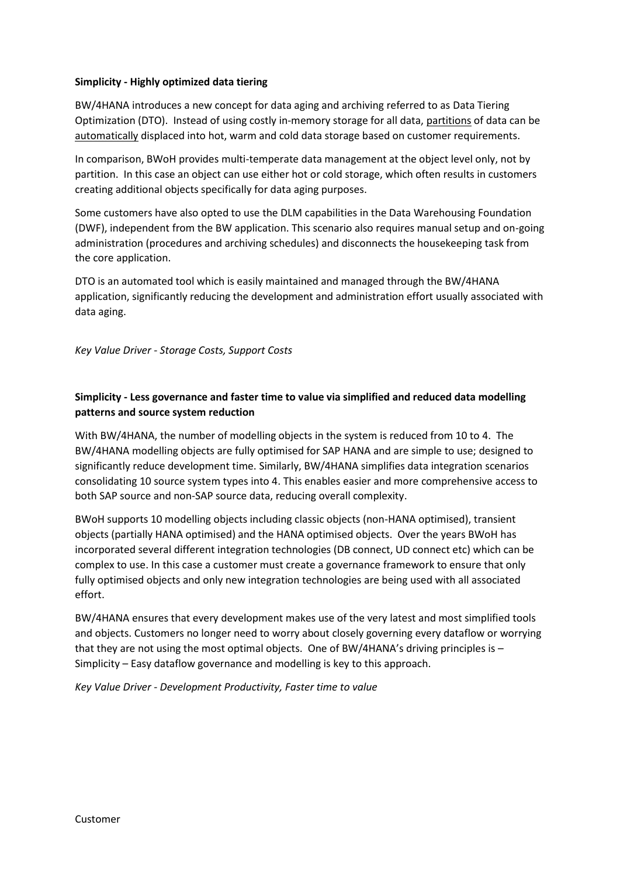# **Simplicity - Highly optimized data tiering**

BW/4HANA introduces a new concept for data aging and archiving referred to as Data Tiering Optimization (DTO). Instead of using costly in-memory storage for all data, partitions of data can be automatically displaced into hot, warm and cold data storage based on customer requirements.

In comparison, BWoH provides multi-temperate data management at the object level only, not by partition. In this case an object can use either hot or cold storage, which often results in customers creating additional objects specifically for data aging purposes.

Some customers have also opted to use the DLM capabilities in the Data Warehousing Foundation (DWF), independent from the BW application. This scenario also requires manual setup and on-going administration (procedures and archiving schedules) and disconnects the housekeeping task from the core application.

DTO is an automated tool which is easily maintained and managed through the BW/4HANA application, significantly reducing the development and administration effort usually associated with data aging.

*Key Value Driver - Storage Costs, Support Costs*

# **Simplicity - Less governance and faster time to value via simplified and reduced data modelling patterns and source system reduction**

With BW/4HANA, the number of modelling objects in the system is reduced from 10 to 4. The BW/4HANA modelling objects are fully optimised for SAP HANA and are simple to use; designed to significantly reduce development time. Similarly, BW/4HANA simplifies data integration scenarios consolidating 10 source system types into 4. This enables easier and more comprehensive access to both SAP source and non-SAP source data, reducing overall complexity.

BWoH supports 10 modelling objects including classic objects (non-HANA optimised), transient objects (partially HANA optimised) and the HANA optimised objects. Over the years BWoH has incorporated several different integration technologies (DB connect, UD connect etc) which can be complex to use. In this case a customer must create a governance framework to ensure that only fully optimised objects and only new integration technologies are being used with all associated effort.

BW/4HANA ensures that every development makes use of the very latest and most simplified tools and objects. Customers no longer need to worry about closely governing every dataflow or worrying that they are not using the most optimal objects. One of BW/4HANA's driving principles is  $-$ Simplicity – Easy dataflow governance and modelling is key to this approach.

*Key Value Driver - Development Productivity, Faster time to value*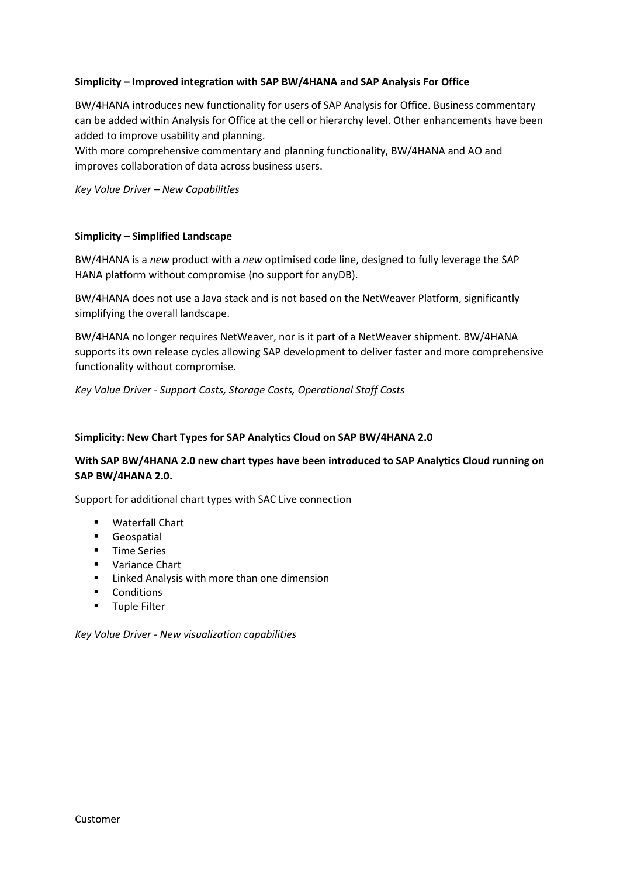# **Simplicity – Improved integration with SAP BW/4HANA and SAP Analysis For Office**

BW/4HANA introduces new functionality for users of SAP Analysis for Office. Business commentary can be added within Analysis for Office at the cell or hierarchy level. Other enhancements have been added to improve usability and planning.

With more comprehensive commentary and planning functionality, BW/4HANA and AO and improves collaboration of data across business users.

*Key Value Driver – New Capabilities*

#### **Simplicity – Simplified Landscape**

BW/4HANA is a *new* product with a *new* optimised code line, designed to fully leverage the SAP HANA platform without compromise (no support for anyDB).

BW/4HANA does not use a Java stack and is not based on the NetWeaver Platform, significantly simplifying the overall landscape.

BW/4HANA no longer requires NetWeaver, nor is it part of a NetWeaver shipment. BW/4HANA supports its own release cycles allowing SAP development to deliver faster and more comprehensive functionality without compromise.

*Key Value Driver - Support Costs, Storage Costs, Operational Staff Costs*

#### **Simplicity: New Chart Types for SAP Analytics Cloud on SAP BW/4HANA 2.0**

# **With SAP BW/4HANA 2.0 new chart types have been introduced to SAP Analytics Cloud running on SAP BW/4HANA 2.0.**

Support for additional chart types with SAC Live connection

- Waterfall Chart
- Geospatial
- Time Series
- Variance Chart
- Linked Analysis with more than one dimension
- Conditions
- Tuple Filter

*Key Value Driver - New visualization capabilities*